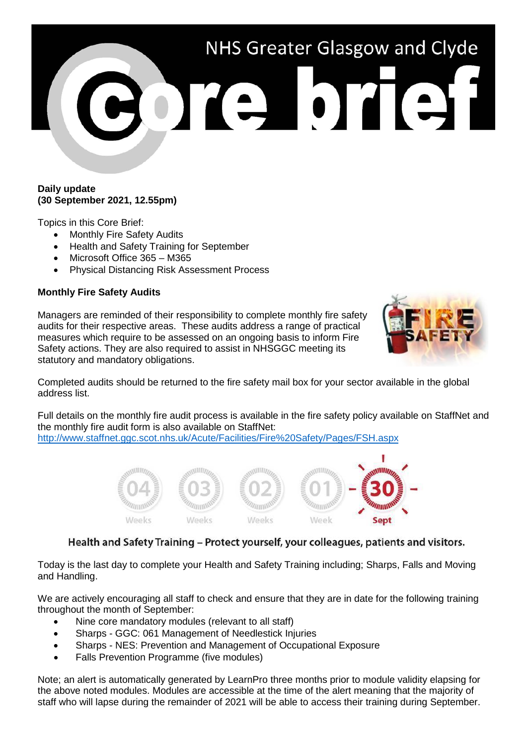

### **Daily update (30 September 2021, 12.55pm)**

Topics in this Core Brief:

- Monthly Fire Safety Audits
- Health and Safety Training for September
- Microsoft Office 365 M365
- Physical Distancing Risk Assessment Process

## **Monthly Fire Safety Audits**

Managers are reminded of their responsibility to complete monthly fire safety audits for their respective areas. These audits address a range of practical measures which require to be assessed on an ongoing basis to inform Fire Safety actions. They are also required to assist in NHSGGC meeting its statutory and mandatory obligations.



Completed audits should be returned to the fire safety mail box for your sector available in the global address list.

Full details on the monthly fire audit process is available in the fire safety policy available on StaffNet and the monthly fire audit form is also available on StaffNet:

<http://www.staffnet.ggc.scot.nhs.uk/Acute/Facilities/Fire%20Safety/Pages/FSH.aspx>



# Health and Safety Training - Protect yourself, your colleagues, patients and visitors.

Today is the last day to complete your Health and Safety Training including; Sharps, Falls and Moving and Handling.

We are actively encouraging all staff to check and ensure that they are in date for the following training throughout the month of September:

- Nine core mandatory modules (relevant to all staff)
- Sharps GGC: 061 Management of Needlestick Injuries
- Sharps NES: Prevention and Management of Occupational Exposure
- Falls Prevention Programme (five modules)

Note; an alert is automatically generated by LearnPro three months prior to module validity elapsing for the above noted modules. Modules are accessible at the time of the alert meaning that the majority of staff who will lapse during the remainder of 2021 will be able to access their training during September.